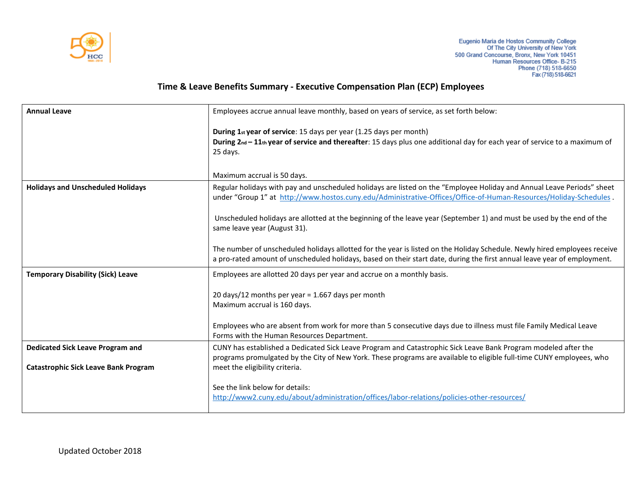

## **Time & Leave Benefits Summary - Executive Compensation Plan (ECP) Employees**

| <b>Annual Leave</b>                         | Employees accrue annual leave monthly, based on years of service, as set forth below:                                                                                                                                                                 |
|---------------------------------------------|-------------------------------------------------------------------------------------------------------------------------------------------------------------------------------------------------------------------------------------------------------|
|                                             | During 1st year of service: 15 days per year (1.25 days per month)<br>During 2nd - 11th year of service and thereafter: 15 days plus one additional day for each year of service to a maximum of<br>25 days.                                          |
|                                             | Maximum accrual is 50 days.                                                                                                                                                                                                                           |
| <b>Holidays and Unscheduled Holidays</b>    | Regular holidays with pay and unscheduled holidays are listed on the "Employee Holiday and Annual Leave Periods" sheet<br>under "Group 1" at http://www.hostos.cuny.edu/Administrative-Offices/Office-of-Human-Resources/Holiday-Schedules.           |
|                                             | Unscheduled holidays are allotted at the beginning of the leave year (September 1) and must be used by the end of the<br>same leave year (August 31).                                                                                                 |
|                                             | The number of unscheduled holidays allotted for the year is listed on the Holiday Schedule. Newly hired employees receive<br>a pro-rated amount of unscheduled holidays, based on their start date, during the first annual leave year of employment. |
| <b>Temporary Disability (Sick) Leave</b>    | Employees are allotted 20 days per year and accrue on a monthly basis.                                                                                                                                                                                |
|                                             | 20 days/12 months per year = $1.667$ days per month                                                                                                                                                                                                   |
|                                             | Maximum accrual is 160 days.                                                                                                                                                                                                                          |
|                                             | Employees who are absent from work for more than 5 consecutive days due to illness must file Family Medical Leave<br>Forms with the Human Resources Department.                                                                                       |
| <b>Dedicated Sick Leave Program and</b>     | CUNY has established a Dedicated Sick Leave Program and Catastrophic Sick Leave Bank Program modeled after the<br>programs promulgated by the City of New York. These programs are available to eligible full-time CUNY employees, who                |
| <b>Catastrophic Sick Leave Bank Program</b> | meet the eligibility criteria.                                                                                                                                                                                                                        |
|                                             | See the link below for details:<br>http://www2.cuny.edu/about/administration/offices/labor-relations/policies-other-resources/                                                                                                                        |